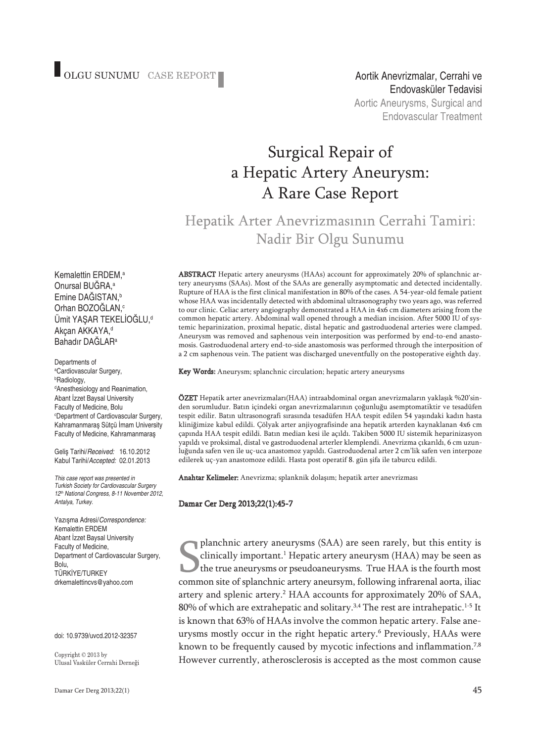# Surgical Repair of a Hepatic Artery Aneurysm: A Rare Case Report

## Hepatik Arter Anevrizmasının Cerrahi Tamiri: Nadir Bir Olgu Sunumu

Kemalettin ERDEM, a Onursal BUĞRA, a Emine DAĞISTAN, b Orhan BOZOĞLAN, c Ümit YAŞAR TEKELİOĞLU, d Akçan AKKAYA, d Bahadır DAĞLAR<sup>a</sup>

Departments of a Cardiovascular Surgery, b Radiology, d Anesthesiology and Reanimation, Abant İzzet Baysal University Faculty of Medicine, Bolu c Department of Cardiovascular Surgery, Kahramanmaraş Sütçü İmam University Faculty of Medicine, Kahramanmaraş

Geliş Tarihi/*Received:* 16.10.2012 Kabul Tarihi/*Accepted:* 02.01.2013

*This case report was presented in Turkish Society for Cardiovascular Surgery 12th National Congress, 8-11 November 2012, Antalya, Turkey.*

Yazışma Adresi/*Correspondence:* Kemalettin ERDEM Abant İzzet Baysal University Faculty of Medicine, Department of Cardiovascular Surgery, Bolu, TÜRKİYE/TURKEY drkemalettincvs@yahoo.com

#### doi: 10.9739/uvcd.2012-32357

Copyright © 2013 by Ulusal Vasküler Cerrahi Derneği ABS TRACT Hepatic artery aneurysms (HAAs) account for approximately 20% of splanchnic artery aneurysms (SAAs). Most of the SAAs are generally asymptomatic and detected incidentally. Rupture of HAA is the first clinical manifestation in 80% of the cases. A 54-year-old female patient whose HAA was incidentally detected with abdominal ultrasonography two years ago, was referred to our clinic. Celiac artery angiography demonstrated a HAA in 4x6 cm diameters arising from the common hepatic artery. Abdominal wall opened through a median incision. After 5000 IU of systemic heparinization, proximal hepatic, distal hepatic and gastroduodenal arteries were clamped. Aneurysm was removed and saphenous vein interposition was performed by end-to-end anastomosis. Gastroduodenal artery end-to-side anastomosis was performed through the interposition of a 2 cm saphenous vein. The patient was discharged uneventfully on the postoperative eighth day.

Key Words: Aneurysm; splanchnic circulation; hepatic artery aneurysms

ÖZET Hepatik arter anevrizmaları(HAA) intraabdominal organ anevrizmaların yaklaşık %20'sinden sorumludur. Batın içindeki organ anevrizmalarının çoğunluğu asemptomatiktir ve tesadüfen tespit edilir. Batın ultrasonografi sırasında tesadüfen HAA tespit edilen 54 yaşındaki kadın hasta kliniğimize kabul edildi. Çölyak arter anjiyografisinde ana hepatik arterden kaynaklanan 4x6 cm çapında HAA tespit edildi. Batın median kesi ile açıldı. Takiben 5000 IU sistemik heparinizasyon yapıldı ve proksimal, distal ve gastroduodenal arterler klemplendi. Anevrizma çıkarıldı, 6 cm uzunluğunda safen ven ile uç-uca anastomoz yapıldı. Gastroduodenal arter 2 cm'lik safen ven interpoze edilerek uç-yan anastomoze edildi. Hasta post operatif 8. gün şifa ile taburcu edildi.

Anahtar Kelimeler: Anevrizma; splanknik dolaşım; hepatik arter anevrizması

#### Damar Cer Derg 2013;22(1):45-7

planchnic artery aneurysms (SAA) are seen rarely, but this entity is clinically important. <sup>1</sup> Hepatic artery aneurysm (HAA) may be seen as the true aneurysms or pseudoaneurysms. True HAA is the fourth most common site of splanchnic artery aneursym, following infrarenal aorta, iliac artery and splenic artery. <sup>2</sup> HAA accounts for approximately 20% of SAA, 80% of which are extrahepatic and solitary.<sup>3,4</sup> The rest are intrahepatic.<sup>1-5</sup> It is known that 63% of HAAs involve the common hepatic artery. False aneurysms mostly occur in the right hepatic artery. <sup>6</sup> Previously, HAAs were known to be frequently caused by mycotic infections and inflammation.<sup>7,8</sup> However currently, atherosclerosis is accepted as the most common cause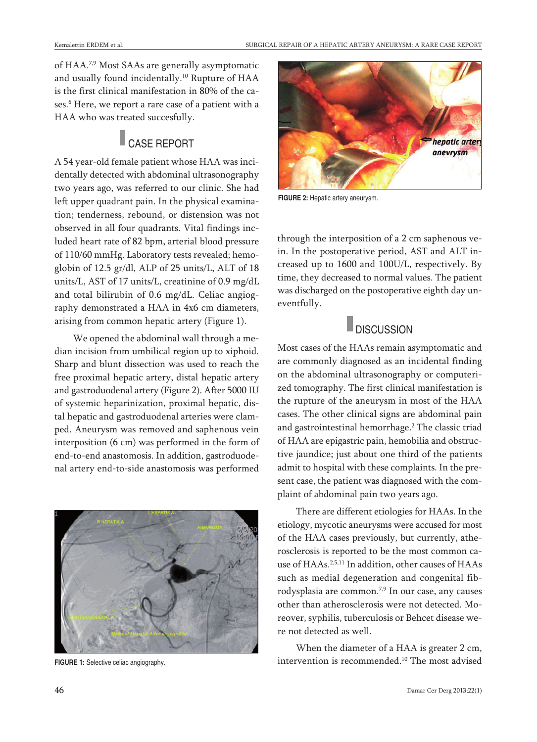of HAA.<sup>7,9</sup> Most SAAs are generally asymptomatic and usually found incidentally. <sup>10</sup> Rupture of HAA is the first clinical manifestation in 80% of the cases. <sup>6</sup> Here, we report a rare case of a patient with a HAA who was treated succesfully.

### **CASE REPORT**

A 54 year-old female patient whose HAA was incidentally detected with abdominal ultrasonography two years ago, was referred to our clinic. She had left upper quadrant pain. In the physical examination; tenderness, rebound, or distension was not observed in all four quadrants. Vital findings included heart rate of 82 bpm, arterial blood pressure of 110/60 mmHg. Laboratory tests revealed; hemoglobin of 12.5 gr/dl, ALP of 25 units/L, ALT of 18 units/L, AST of 17 units/L, creatinine of 0.9 mg/dL and total bilirubin of 0.6 mg/dL. Celiac angiography demonstrated a HAA in 4x6 cm diameters, arising from common hepatic artery (Figure 1).

We opened the abdominal wall through a median incision from umbilical region up to xiphoid. Sharp and blunt dissection was used to reach the free proximal hepatic artery, distal hepatic artery and gastroduodenal artery (Figure 2). After 5000 IU of systemic heparinization, proximal hepatic, distal hepatic and gastroduodenal arteries were clamped. Aneurysm was removed and saphenous vein interposition (6 cm) was performed in the form of end-to-end anastomosis. In addition, gastroduodenal artery end-to-side anastomosis was performed



**FIGURE 1:** Selective celiac angiography.



**FIGURE 2:** Hepatic artery aneurysm.

through the interposition of a 2 cm saphenous vein. In the postoperative period, AST and ALT increased up to 1600 and 100U/L, respectively. By time, they decreased to normal values. The patient was discharged on the postoperative eighth day uneventfully.

### **DISCUSSION**

Most cases of the HAAs remain asymptomatic and are commonly diagnosed as an incidental finding on the abdominal ultrasonography or computerized tomography. The first clinical manifestation is the rupture of the aneurysm in most of the HAA cases. The other clinical signs are abdominal pain and gastrointestinal hemorrhage. <sup>2</sup> The classic triad of HAA are epigastric pain, hemobilia and obstructive jaundice; just about one third of the patients admit to hospital with these complaints. In the present case, the patient was diagnosed with the complaint of abdominal pain two years ago.

There are different etiologies for HAAs. In the etiology, mycotic aneurysms were accused for most of the HAA cases previously, but currently, atherosclerosis is reported to be the most common cause of HAAs. 2,5,11 In addition, other causes of HAAs such as medial degeneration and congenital fibrodysplasia are common.<sup>7,9</sup> In our case, any causes other than atherosclerosis were not detected. Moreover, syphilis, tuberculosis or Behcet disease were not detected as well.

When the diameter of a HAA is greater 2 cm, intervention is recommended. <sup>10</sup> The most advised